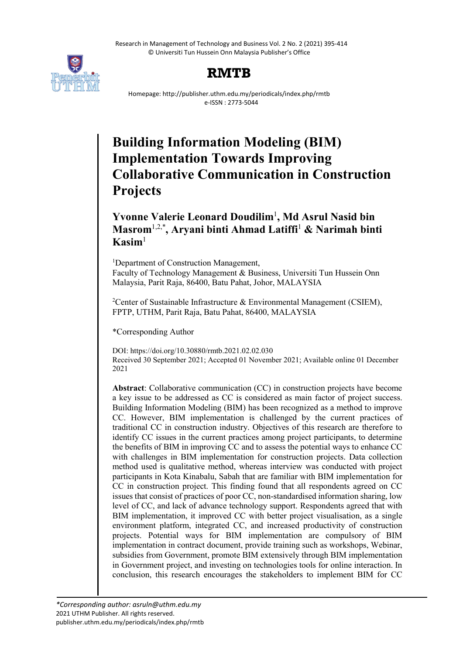Research in Management of Technology and Business Vol. 2 No. 2 (2021) 395-414 © Universiti Tun Hussein Onn Malaysia Publisher's Office



# **RMTB**

Homepage: http://publisher.uthm.edu.my/periodicals/index.php/rmtb e-ISSN : 2773-5044

# **Building Information Modeling (BIM) Implementation Towards Improving Collaborative Communication in Construction Projects**

# **Yvonne Valerie Leonard Doudilim**<sup>1</sup> **, Md Asrul Nasid bin Masrom**1,2,\* **, Aryani binti Ahmad Latiffi**<sup>1</sup> **& Narimah binti**   $K$ asim<sup>1</sup>

<sup>1</sup>Department of Construction Management, Faculty of Technology Management & Business, Universiti Tun Hussein Onn Malaysia, Parit Raja, 86400, Batu Pahat, Johor, MALAYSIA

<sup>2</sup> Center of Sustainable Infrastructure & Environmental Management (CSIEM), FPTP, UTHM, Parit Raja, Batu Pahat, 86400, MALAYSIA

\*Corresponding Author

DOI: https://doi.org/10.30880/rmtb.2021.02.02.030 Received 30 September 2021; Accepted 01 November 2021; Available online 01 December 2021

**Abstract**: Collaborative communication (CC) in construction projects have become a key issue to be addressed as CC is considered as main factor of project success. Building Information Modeling (BIM) has been recognized as a method to improve CC. However, BIM implementation is challenged by the current practices of traditional CC in construction industry. Objectives of this research are therefore to identify CC issues in the current practices among project participants, to determine the benefits of BIM in improving CC and to assess the potential ways to enhance CC with challenges in BIM implementation for construction projects. Data collection method used is qualitative method, whereas interview was conducted with project participants in Kota Kinabalu, Sabah that are familiar with BIM implementation for CC in construction project. This finding found that all respondents agreed on CC issues that consist of practices of poor CC, non-standardised information sharing, low level of CC, and lack of advance technology support. Respondents agreed that with BIM implementation, it improved CC with better project visualisation, as a single environment platform, integrated CC, and increased productivity of construction projects. Potential ways for BIM implementation are compulsory of BIM implementation in contract document, provide training such as workshops, Webinar, subsidies from Government, promote BIM extensively through BIM implementation in Government project, and investing on technologies tools for online interaction. In conclusion, this research encourages the stakeholders to implement BIM for CC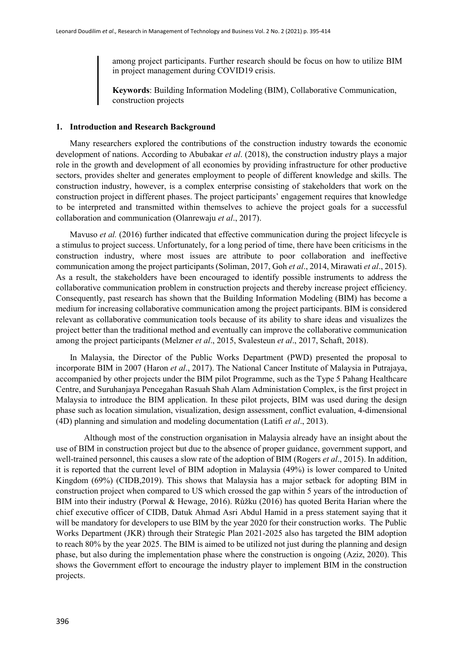among project participants. Further research should be focus on how to utilize BIM in project management during COVID19 crisis.

**Keywords**: Building Information Modeling (BIM), Collaborative Communication, construction projects

#### **1. Introduction and Research Background**

Many researchers explored the contributions of the construction industry towards the economic development of nations. According to Abubakar *et al*. (2018), the construction industry plays a major role in the growth and development of all economies by providing infrastructure for other productive sectors, provides shelter and generates employment to people of different knowledge and skills. The construction industry, however, is a complex enterprise consisting of stakeholders that work on the construction project in different phases. The project participants' engagement requires that knowledge to be interpreted and transmitted within themselves to achieve the project goals for a successful collaboration and communication (Olanrewaju *et al*., 2017).

Mavuso *et al.* (2016) further indicated that effective communication during the project lifecycle is a stimulus to project success. Unfortunately, for a long period of time, there have been criticisms in the construction industry, where most issues are attribute to poor collaboration and ineffective communication among the project participants (Soliman, 2017, Goh *et al*., 2014, Mirawati *et al*., 2015). As a result, the stakeholders have been encouraged to identify possible instruments to address the collaborative communication problem in construction projects and thereby increase project efficiency. Consequently, past research has shown that the Building Information Modeling (BIM) has become a medium for increasing collaborative communication among the project participants. BIM is considered relevant as collaborative communication tools because of its ability to share ideas and visualizes the project better than the traditional method and eventually can improve the collaborative communication among the project participants (Melzner *et al*., 2015, Svalesteun *et al*., 2017, Schaft, 2018).

In Malaysia, the Director of the Public Works Department (PWD) presented the proposal to incorporate BIM in 2007 (Haron *et al*., 2017). The National Cancer Institute of Malaysia in Putrajaya, accompanied by other projects under the BIM pilot Programme, such as the Type 5 Pahang Healthcare Centre, and Suruhanjaya Pencegahan Rasuah Shah Alam Administation Complex, is the first project in Malaysia to introduce the BIM application. In these pilot projects, BIM was used during the design phase such as location simulation, visualization, design assessment, conflict evaluation, 4-dimensional (4D) planning and simulation and modeling documentation (Latifi *et al*., 2013).

Although most of the construction organisation in Malaysia already have an insight about the use of BIM in construction project but due to the absence of proper guidance, government support, and well-trained personnel, this causes a slow rate of the adoption of BIM (Rogers *et al*., 2015). In addition, it is reported that the current level of BIM adoption in Malaysia (49%) is lower compared to United Kingdom (69%) (CIDB,2019). This shows that Malaysia has a major setback for adopting BIM in construction project when compared to US which crossed the gap within 5 years of the introduction of BIM into their industry (Porwal & Hewage, 2016). Růžku (2016) has quoted Berita Harian where the chief executive officer of CIDB, Datuk Ahmad Asri Abdul Hamid in a press statement saying that it will be mandatory for developers to use BIM by the year 2020 for their construction works. The Public Works Department (JKR) through their Strategic Plan 2021-2025 also has targeted the BIM adoption to reach 80% by the year 2025. The BIM is aimed to be utilized not just during the planning and design phase, but also during the implementation phase where the construction is ongoing (Aziz, 2020). This shows the Government effort to encourage the industry player to implement BIM in the construction projects.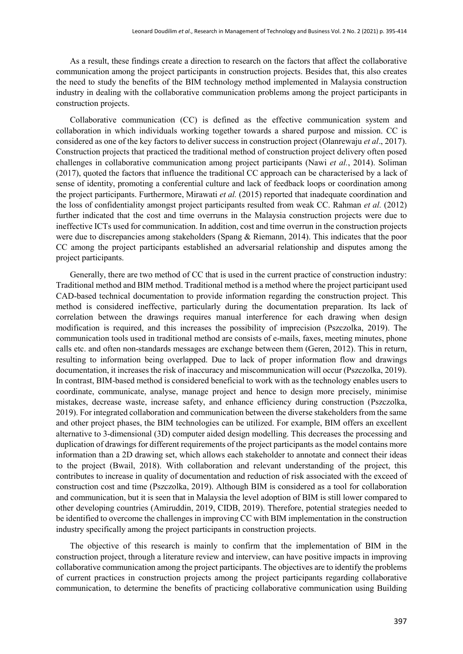As a result, these findings create a direction to research on the factors that affect the collaborative communication among the project participants in construction projects. Besides that, this also creates the need to study the benefits of the BIM technology method implemented in Malaysia construction industry in dealing with the collaborative communication problems among the project participants in construction projects.

Collaborative communication (CC) is defined as the effective communication system and collaboration in which individuals working together towards a shared purpose and mission. CC is considered as one of the key factors to deliver success in construction project (Olanrewaju *et al*., 2017). Construction projects that practiced the traditional method of construction project delivery often posed challenges in collaborative communication among project participants (Nawi *et al.*, 2014). Soliman (2017), quoted the factors that influence the traditional CC approach can be characterised by a lack of sense of identity, promoting a conferential culture and lack of feedback loops or coordination among the project participants. Furthermore, Mirawati *et al.* (2015) reported that inadequate coordination and the loss of confidentiality amongst project participants resulted from weak CC. Rahman *et al.* (2012) further indicated that the cost and time overruns in the Malaysia construction projects were due to ineffective ICTs used for communication. In addition, cost and time overrun in the construction projects were due to discrepancies among stakeholders (Spang & Riemann, 2014). This indicates that the poor CC among the project participants established an adversarial relationship and disputes among the project participants.

Generally, there are two method of CC that is used in the current practice of construction industry: Traditional method and BIM method. Traditional method is a method where the project participant used CAD-based technical documentation to provide information regarding the construction project. This method is considered ineffective, particularly during the documentation preparation. Its lack of correlation between the drawings requires manual interference for each drawing when design modification is required, and this increases the possibility of imprecision (Pszczolka, 2019). The communication tools used in traditional method are consists of e-mails, faxes, meeting minutes, phone calls etc. and often non-standards messages are exchange between them (Geren, 2012). This in return, resulting to information being overlapped. Due to lack of proper information flow and drawings documentation, it increases the risk of inaccuracy and miscommunication will occur (Pszczolka, 2019). In contrast, BIM-based method is considered beneficial to work with as the technology enables users to coordinate, communicate, analyse, manage project and hence to design more precisely, minimise mistakes, decrease waste, increase safety, and enhance efficiency during construction (Pszczolka, 2019). For integrated collaboration and communication between the diverse stakeholders from the same and other project phases, the BIM technologies can be utilized. For example, BIM offers an excellent alternative to 3-dimensional (3D) computer aided design modelling. This decreases the processing and duplication of drawings for different requirements of the project participants as the model contains more information than a 2D drawing set, which allows each stakeholder to annotate and connect their ideas to the project (Bwail, 2018). With collaboration and relevant understanding of the project, this contributes to increase in quality of documentation and reduction of risk associated with the exceed of construction cost and time (Pszczolka, 2019). Although BIM is considered as a tool for collaboration and communication, but it is seen that in Malaysia the level adoption of BIM is still lower compared to other developing countries (Amiruddin, 2019, CIDB, 2019). Therefore, potential strategies needed to be identified to overcome the challenges in improving CC with BIM implementation in the construction industry specifically among the project participants in construction projects.

The objective of this research is mainly to confirm that the implementation of BIM in the construction project, through a literature review and interview, can have positive impacts in improving collaborative communication among the project participants. The objectives are to identify the problems of current practices in construction projects among the project participants regarding collaborative communication, to determine the benefits of practicing collaborative communication using Building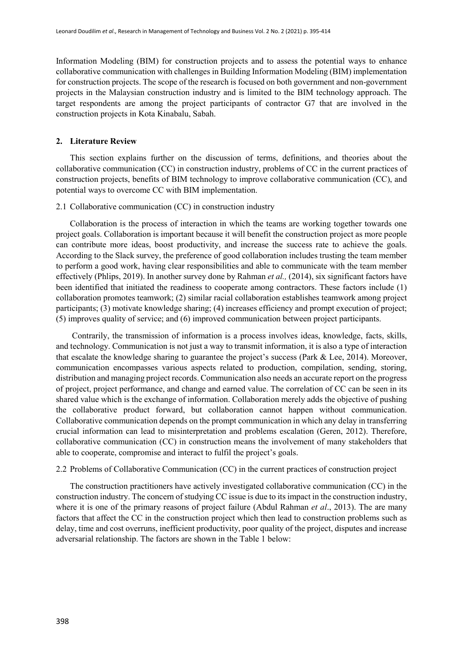Information Modeling (BIM) for construction projects and to assess the potential ways to enhance collaborative communication with challenges in Building Information Modeling (BIM) implementation for construction projects. The scope of the research is focused on both government and non-government projects in the Malaysian construction industry and is limited to the BIM technology approach. The target respondents are among the project participants of contractor G7 that are involved in the construction projects in Kota Kinabalu, Sabah.

# **2. Literature Review**

This section explains further on the discussion of terms, definitions, and theories about the collaborative communication (CC) in construction industry, problems of CC in the current practices of construction projects, benefits of BIM technology to improve collaborative communication (CC), and potential ways to overcome CC with BIM implementation.

#### 2.1 Collaborative communication (CC) in construction industry

Collaboration is the process of interaction in which the teams are working together towards one project goals. Collaboration is important because it will benefit the construction project as more people can contribute more ideas, boost productivity, and increase the success rate to achieve the goals. According to the Slack survey, the preference of good collaboration includes trusting the team member to perform a good work, having clear responsibilities and able to communicate with the team member effectively (Phlips, 2019). In another survey done by Rahman *et al.,* (2014), six significant factors have been identified that initiated the readiness to cooperate among contractors. These factors include (1) collaboration promotes teamwork; (2) similar racial collaboration establishes teamwork among project participants; (3) motivate knowledge sharing; (4) increases efficiency and prompt execution of project; (5) improves quality of service; and (6) improved communication between project participants.

Contrarily, the transmission of information is a process involves ideas, knowledge, facts, skills, and technology. Communication is not just a way to transmit information, it is also a type of interaction that escalate the knowledge sharing to guarantee the project's success (Park & Lee, 2014). Moreover, communication encompasses various aspects related to production, compilation, sending, storing, distribution and managing project records. Communication also needs an accurate report on the progress of project, project performance, and change and earned value. The correlation of CC can be seen in its shared value which is the exchange of information. Collaboration merely adds the objective of pushing the collaborative product forward, but collaboration cannot happen without communication. Collaborative communication depends on the prompt communication in which any delay in transferring crucial information can lead to misinterpretation and problems escalation (Geren, 2012). Therefore, collaborative communication (CC) in construction means the involvement of many stakeholders that able to cooperate, compromise and interact to fulfil the project's goals.

#### 2.2 Problems of Collaborative Communication (CC) in the current practices of construction project

The construction practitioners have actively investigated collaborative communication (CC) in the construction industry. The concern of studying CC issue is due to its impact in the construction industry, where it is one of the primary reasons of project failure (Abdul Rahman *et al*., 2013). The are many factors that affect the CC in the construction project which then lead to construction problems such as delay, time and cost overruns, inefficient productivity, poor quality of the project, disputes and increase adversarial relationship. The factors are shown in the Table 1 below: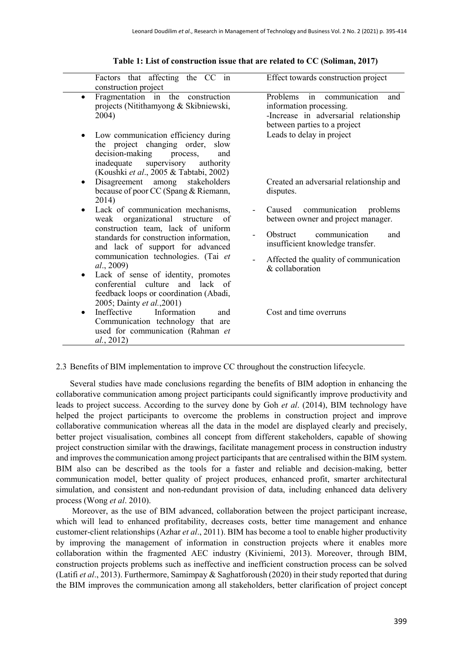| Factors that affecting the CC in<br>construction project                                                                                                                                    | Effect towards construction project                                                                                                        |
|---------------------------------------------------------------------------------------------------------------------------------------------------------------------------------------------|--------------------------------------------------------------------------------------------------------------------------------------------|
| Fragmentation in the construction<br>$\bullet$<br>projects (Nitithamyong & Skibniewski,<br>2004)                                                                                            | in<br>communication<br>Problems<br>and<br>information processing.<br>-Increase in adversarial relationship<br>between parties to a project |
| Low communication efficiency during<br>the project changing order, slow<br>decision-making<br>process,<br>and<br>inadequate supervisory authority<br>(Koushki et al., 2005 & Tabtabi, 2002) | Leads to delay in project                                                                                                                  |
| Disagreement among stakeholders<br>$\bullet$<br>because of poor CC (Spang & Riemann,<br>2014)                                                                                               | Created an adversarial relationship and<br>disputes.                                                                                       |
| Lack of communication mechanisms,<br>weak organizational<br>structure of                                                                                                                    | communication<br>Caused<br>problems<br>between owner and project manager.                                                                  |
| construction team, lack of uniform<br>standards for construction information,<br>and lack of support for advanced                                                                           | communication<br><b>Obstruct</b><br>and<br>insufficient knowledge transfer.                                                                |
| communication technologies. (Tai et<br><i>al.</i> , 2009)                                                                                                                                   | Affected the quality of communication<br>$&$ collaboration                                                                                 |
| Lack of sense of identity, promotes<br>$\bullet$<br>conferential culture and lack of<br>feedback loops or coordination (Abadi,<br>2005; Dainty et al., 2001)                                |                                                                                                                                            |
| Ineffective Information<br>and<br>$\bullet$<br>Communication technology that are<br>used for communication (Rahman et<br>al., 2012)                                                         | Cost and time overruns                                                                                                                     |

#### **Table 1: List of construction issue that are related to CC (Soliman, 2017)**

# 2.3 Benefits of BIM implementation to improve CC throughout the construction lifecycle.

Several studies have made conclusions regarding the benefits of BIM adoption in enhancing the collaborative communication among project participants could significantly improve productivity and leads to project success. According to the survey done by Goh *et al*. (2014), BIM technology have helped the project participants to overcome the problems in construction project and improve collaborative communication whereas all the data in the model are displayed clearly and precisely, better project visualisation, combines all concept from different stakeholders, capable of showing project construction similar with the drawings, facilitate management process in construction industry and improves the communication among project participants that are centralised within the BIM system. BIM also can be described as the tools for a faster and reliable and decision-making, better communication model, better quality of project produces, enhanced profit, smarter architectural simulation, and consistent and non-redundant provision of data, including enhanced data delivery process (Wong *et al*. 2010).

Moreover, as the use of BIM advanced, collaboration between the project participant increase, which will lead to enhanced profitability, decreases costs, better time management and enhance customer-client relationships (Azhar *et al*., 2011). BIM has become a tool to enable higher productivity by improving the management of information in construction projects where it enables more collaboration within the fragmented AEC industry (Kiviniemi, 2013). Moreover, through BIM, construction projects problems such as ineffective and inefficient construction process can be solved (Latifi *et al*., 2013). Furthermore, Samimpay & Saghatforoush (2020) in their study reported that during the BIM improves the communication among all stakeholders, better clarification of project concept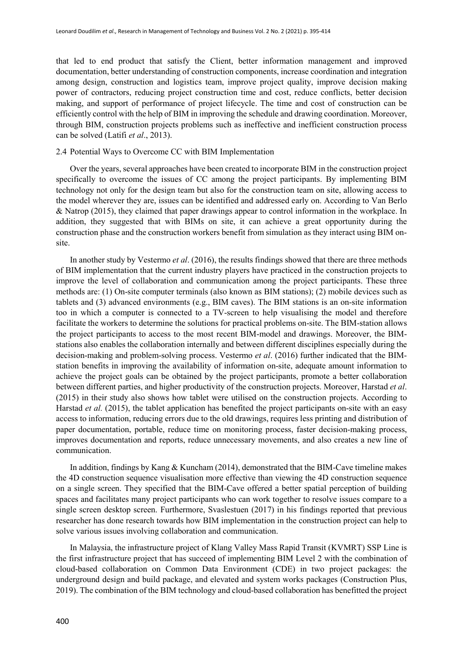that led to end product that satisfy the Client, better information management and improved documentation, better understanding of construction components, increase coordination and integration among design, construction and logistics team, improve project quality, improve decision making power of contractors, reducing project construction time and cost, reduce conflicts, better decision making, and support of performance of project lifecycle. The time and cost of construction can be efficiently control with the help of BIM in improving the schedule and drawing coordination. Moreover, through BIM, construction projects problems such as ineffective and inefficient construction process can be solved (Latifi *et al*., 2013).

# 2.4 Potential Ways to Overcome CC with BIM Implementation

Over the years, several approaches have been created to incorporate BIM in the construction project specifically to overcome the issues of CC among the project participants. By implementing BIM technology not only for the design team but also for the construction team on site, allowing access to the model wherever they are, issues can be identified and addressed early on. According to Van Berlo & Natrop (2015), they claimed that paper drawings appear to control information in the workplace. In addition, they suggested that with BIMs on site, it can achieve a great opportunity during the construction phase and the construction workers benefit from simulation as they interact using BIM onsite.

In another study by Vestermo *et al*. (2016), the results findings showed that there are three methods of BIM implementation that the current industry players have practiced in the construction projects to improve the level of collaboration and communication among the project participants. These three methods are: (1) On-site computer terminals (also known as BIM stations); (2) mobile devices such as tablets and (3) advanced environments (e.g., BIM caves). The BIM stations is an on-site information too in which a computer is connected to a TV-screen to help visualising the model and therefore facilitate the workers to determine the solutions for practical problems on-site. The BIM-station allows the project participants to access to the most recent BIM-model and drawings. Moreover, the BIMstations also enables the collaboration internally and between different disciplines especially during the decision-making and problem-solving process. Vestermo *et al*. (2016) further indicated that the BIMstation benefits in improving the availability of information on-site, adequate amount information to achieve the project goals can be obtained by the project participants, promote a better collaboration between different parties, and higher productivity of the construction projects. Moreover, Harstad *et al*. (2015) in their study also shows how tablet were utilised on the construction projects. According to Harstad *et al.* (2015), the tablet application has benefited the project participants on-site with an easy access to information, reducing errors due to the old drawings, requires less printing and distribution of paper documentation, portable, reduce time on monitoring process, faster decision-making process, improves documentation and reports, reduce unnecessary movements, and also creates a new line of communication.

In addition, findings by Kang & Kuncham (2014), demonstrated that the BIM-Cave timeline makes the 4D construction sequence visualisation more effective than viewing the 4D construction sequence on a single screen. They specified that the BIM-Cave offered a better spatial perception of building spaces and facilitates many project participants who can work together to resolve issues compare to a single screen desktop screen. Furthermore, Svaslestuen (2017) in his findings reported that previous researcher has done research towards how BIM implementation in the construction project can help to solve various issues involving collaboration and communication.

In Malaysia, the infrastructure project of Klang Valley Mass Rapid Transit (KVMRT) SSP Line is the first infrastructure project that has succeed of implementing BIM Level 2 with the combination of cloud-based collaboration on Common Data Environment (CDE) in two project packages: the underground design and build package, and elevated and system works packages (Construction Plus, 2019). The combination of the BIM technology and cloud-based collaboration has benefitted the project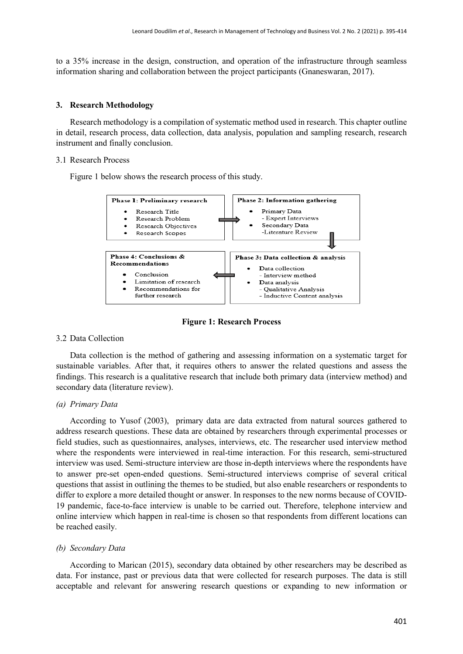to a 35% increase in the design, construction, and operation of the infrastructure through seamless information sharing and collaboration between the project participants (Gnaneswaran, 2017).

# **3. Research Methodology**

Research methodology is a compilation of systematic method used in research. This chapter outline in detail, research process, data collection, data analysis, population and sampling research, research instrument and finally conclusion.

# 3.1 Research Process

Figure 1 below shows the research process of this study.



**Figure 1: Research Process**

# 3.2 Data Collection

Data collection is the method of gathering and assessing information on a systematic target for sustainable variables. After that, it requires others to answer the related questions and assess the findings. This research is a qualitative research that include both primary data (interview method) and secondary data (literature review).

# *(a) Primary Data*

According to Yusof (2003), primary data are data extracted from natural sources gathered to address research questions. These data are obtained by researchers through experimental processes or field studies, such as questionnaires, analyses, interviews, etc. The researcher used interview method where the respondents were interviewed in real-time interaction. For this research, semi-structured interview was used. Semi-structure interview are those in-depth interviews where the respondents have to answer pre-set open-ended questions. Semi-structured interviews comprise of several critical questions that assist in outlining the themes to be studied, but also enable researchers or respondents to differ to explore a more detailed thought or answer. In responses to the new norms because of COVID-19 pandemic, face-to-face interview is unable to be carried out. Therefore, telephone interview and online interview which happen in real-time is chosen so that respondents from different locations can be reached easily.

# *(b) Secondary Data*

According to Marican (2015), secondary data obtained by other researchers may be described as data. For instance, past or previous data that were collected for research purposes. The data is still acceptable and relevant for answering research questions or expanding to new information or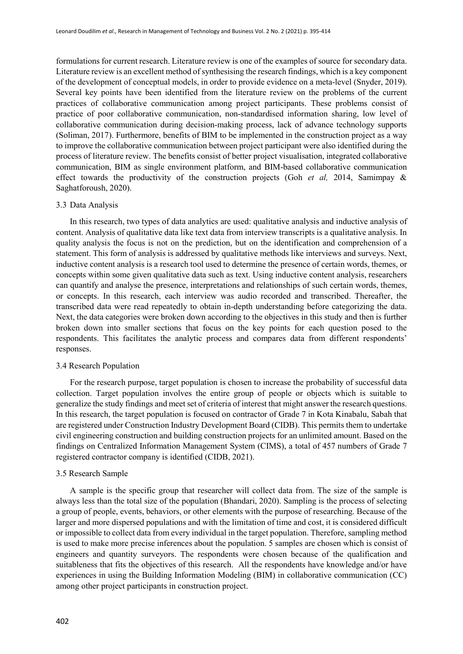formulations for current research. Literature review is one of the examples of source for secondary data. Literature review is an excellent method of synthesising the research findings, which is a key component of the development of conceptual models, in order to provide evidence on a meta-level (Snyder, 2019). Several key points have been identified from the literature review on the problems of the current practices of collaborative communication among project participants. These problems consist of practice of poor collaborative communication, non-standardised information sharing, low level of collaborative communication during decision-making process, lack of advance technology supports (Soliman, 2017). Furthermore, benefits of BIM to be implemented in the construction project as a way to improve the collaborative communication between project participant were also identified during the process of literature review. The benefits consist of better project visualisation, integrated collaborative communication, BIM as single environment platform, and BIM-based collaborative communication effect towards the productivity of the construction projects (Goh *et al,* 2014, Samimpay & Saghatforoush, 2020).

#### 3.3 Data Analysis

In this research, two types of data analytics are used: qualitative analysis and inductive analysis of content. Analysis of qualitative data like text data from interview transcripts is a qualitative analysis. In quality analysis the focus is not on the prediction, but on the identification and comprehension of a statement. This form of analysis is addressed by qualitative methods like interviews and surveys. Next, inductive content analysis is a research tool used to determine the presence of certain words, themes, or concepts within some given qualitative data such as text. Using inductive content analysis, researchers can quantify and analyse the presence, interpretations and relationships of such certain words, themes, or concepts. In this research, each interview was audio recorded and transcribed. Thereafter, the transcribed data were read repeatedly to obtain in-depth understanding before categorizing the data. Next, the data categories were broken down according to the objectives in this study and then is further broken down into smaller sections that focus on the key points for each question posed to the respondents. This facilitates the analytic process and compares data from different respondents' responses.

#### 3.4 Research Population

For the research purpose, target population is chosen to increase the probability of successful data collection. Target population involves the entire group of people or objects which is suitable to generalize the study findings and meet set of criteria of interest that might answer the research questions. In this research, the target population is focused on contractor of Grade 7 in Kota Kinabalu, Sabah that are registered under Construction Industry Development Board (CIDB). This permits them to undertake civil engineering construction and building construction projects for an unlimited amount. Based on the findings on Centralized Information Management System (CIMS), a total of 457 numbers of Grade 7 registered contractor company is identified (CIDB, 2021).

#### 3.5 Research Sample

A sample is the specific group that researcher will collect data from. The size of the sample is always less than the total size of the population (Bhandari, 2020). Sampling is the process of selecting a group of people, events, behaviors, or other elements with the purpose of researching. Because of the larger and more dispersed populations and with the limitation of time and cost, it is considered difficult or impossible to collect data from every individual in the target population. Therefore, sampling method is used to make more precise inferences about the population. 5 samples are chosen which is consist of engineers and quantity surveyors. The respondents were chosen because of the qualification and suitableness that fits the objectives of this research. All the respondents have knowledge and/or have experiences in using the Building Information Modeling (BIM) in collaborative communication (CC) among other project participants in construction project.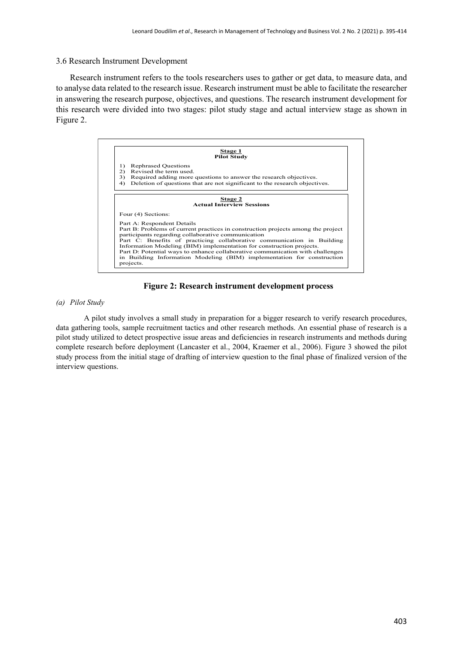# 3.6 Research Instrument Development

Research instrument refers to the tools researchers uses to gather or get data, to measure data, and to analyse data related to the research issue. Research instrument must be able to facilitate the researcher in answering the research purpose, objectives, and questions. The research instrument development for this research were divided into two stages: pilot study stage and actual interview stage as shown in Figure 2.



**Figure 2: Research instrument development process**

*(a) Pilot Study*

A pilot study involves a small study in preparation for a bigger research to verify research procedures, data gathering tools, sample recruitment tactics and other research methods. An essential phase of research is a pilot study utilized to detect prospective issue areas and deficiencies in research instruments and methods during complete research before deployment (Lancaster et al., 2004, Kraemer et al., 2006). Figure 3 showed the pilot study process from the initial stage of drafting of interview question to the final phase of finalized version of the interview questions.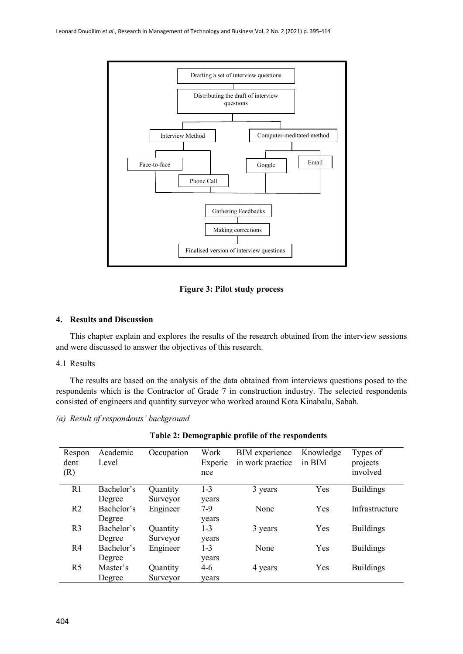

**Figure 3: Pilot study process**

# **4. Results and Discussion**

This chapter explain and explores the results of the research obtained from the interview sessions and were discussed to answer the objectives of this research.

# 4.1 Results

The results are based on the analysis of the data obtained from interviews questions posed to the respondents which is the Contractor of Grade 7 in construction industry. The selected respondents consisted of engineers and quantity surveyor who worked around Kota Kinabalu, Sabah.

# *(a) Result of respondents' background*

| Respon<br>dent<br>(R) | Academic<br>Level | Occupation | Work<br>Experie<br>nce | <b>BIM</b> experience<br>in work practice | Knowledge<br>in BIM | Types of<br>projects<br>involved |
|-----------------------|-------------------|------------|------------------------|-------------------------------------------|---------------------|----------------------------------|
| R1                    | Bachelor's        | Quantity   | $1 - 3$                | 3 years                                   | Yes                 | <b>Buildings</b>                 |
|                       | Degree            | Surveyor   | years                  |                                           |                     |                                  |
| R <sub>2</sub>        | Bachelor's        | Engineer   | $7-9$                  | None                                      | Yes                 | Infrastructure                   |
|                       | Degree            |            | years                  |                                           |                     |                                  |
| R <sub>3</sub>        | Bachelor's        | Quantity   | $1 - 3$                | 3 years                                   | Yes                 | <b>Buildings</b>                 |
|                       | Degree            | Surveyor   | years                  |                                           |                     |                                  |
| R <sub>4</sub>        | Bachelor's        | Engineer   | $1 - 3$                | None                                      | Yes                 | <b>Buildings</b>                 |
|                       | Degree            |            | years                  |                                           |                     |                                  |
| R <sub>5</sub>        | Master's          | Quantity   | 4-6                    | 4 years                                   | Yes                 | <b>Buildings</b>                 |
|                       | Degree            | Surveyor   | years                  |                                           |                     |                                  |

**Table 2: Demographic profile of the respondents**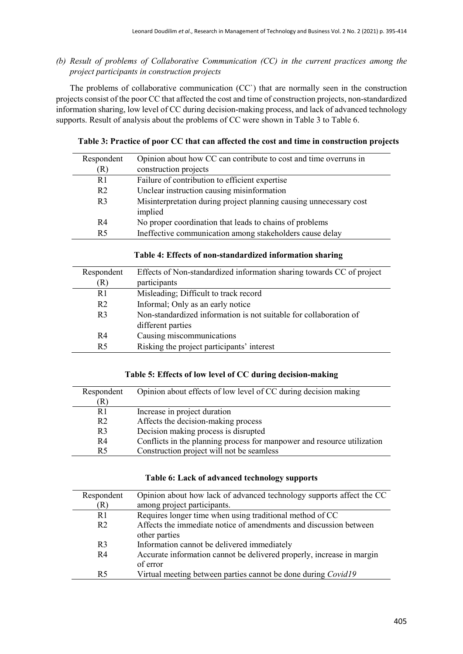*(b) Result of problems of Collaborative Communication (CC) in the current practices among the project participants in construction projects*

The problems of collaborative communication (CC`) that are normally seen in the construction projects consist of the poor CC that affected the cost and time of construction projects, non-standardized information sharing, low level of CC during decision-making process, and lack of advanced technology supports. Result of analysis about the problems of CC were shown in Table 3 to Table 6.

**Table 3: Practice of poor CC that can affected the cost and time in construction projects**

| Respondent     | Opinion about how CC can contribute to cost and time overruns in              |
|----------------|-------------------------------------------------------------------------------|
| (R)            | construction projects                                                         |
| R <sub>1</sub> | Failure of contribution to efficient expertise                                |
| R <sub>2</sub> | Unclear instruction causing misinformation                                    |
| R <sub>3</sub> | Misinterpretation during project planning causing unnecessary cost<br>implied |
|                |                                                                               |
| R4             | No proper coordination that leads to chains of problems                       |
| R <sub>5</sub> | Ineffective communication among stakeholders cause delay                      |

| Respondent     | Effects of Non-standardized information sharing towards CC of project |  |
|----------------|-----------------------------------------------------------------------|--|
| R)             | participants                                                          |  |
| R <sub>1</sub> | Misleading; Difficult to track record                                 |  |
| R <sub>2</sub> | Informal; Only as an early notice                                     |  |
| R <sub>3</sub> | Non-standardized information is not suitable for collaboration of     |  |
|                | different parties                                                     |  |
| R <sub>4</sub> | Causing miscommunications                                             |  |
| R <sub>5</sub> | Risking the project participants' interest                            |  |
|                |                                                                       |  |

# **Table 5: Effects of low level of CC during decision-making**

| Respondent     | Opinion about effects of low level of CC during decision making         |
|----------------|-------------------------------------------------------------------------|
| R)             |                                                                         |
| R <sub>1</sub> | Increase in project duration                                            |
| R <sub>2</sub> | Affects the decision-making process                                     |
| R <sub>3</sub> | Decision making process is disrupted                                    |
| R4             | Conflicts in the planning process for manpower and resource utilization |
| R <sub>5</sub> | Construction project will not be seamless                               |

# **Table 6: Lack of advanced technology supports**

| Respondent     | Opinion about how lack of advanced technology supports affect the CC  |
|----------------|-----------------------------------------------------------------------|
| (R)            | among project participants.                                           |
| R <sub>1</sub> | Requires longer time when using traditional method of CC              |
| R <sub>2</sub> | Affects the immediate notice of amendments and discussion between     |
|                | other parties                                                         |
| R <sub>3</sub> | Information cannot be delivered immediately                           |
| R <sub>4</sub> | Accurate information cannot be delivered properly, increase in margin |
|                | of error                                                              |
| R <sub>5</sub> | Virtual meeting between parties cannot be done during Covid19         |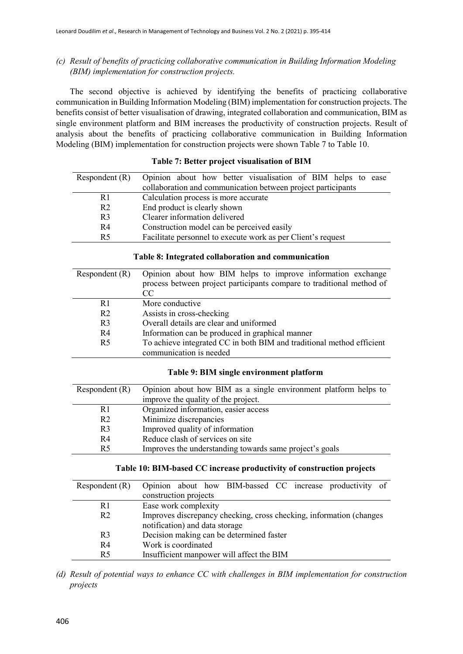# *(c) Result of benefits of practicing collaborative communication in Building Information Modeling (BIM) implementation for construction projects.*

The second objective is achieved by identifying the benefits of practicing collaborative communication in Building Information Modeling (BIM) implementation for construction projects. The benefits consist of better visualisation of drawing, integrated collaboration and communication, BIM as single environment platform and BIM increases the productivity of construction projects. Result of analysis about the benefits of practicing collaborative communication in Building Information Modeling (BIM) implementation for construction projects were shown Table 7 to Table 10.

# **Table 7: Better project visualisation of BIM**

| Respondent $(R)$ | Opinion about how better visualisation of BIM helps to ease  |
|------------------|--------------------------------------------------------------|
|                  | collaboration and communication between project participants |
| R1               | Calculation process is more accurate                         |
| R <sub>2</sub>   | End product is clearly shown                                 |
| R <sub>3</sub>   | Clearer information delivered                                |
| R4               | Construction model can be perceived easily                   |
| R <sub>5</sub>   | Facilitate personnel to execute work as per Client's request |

|  |  | Table 8: Integrated collaboration and communication |
|--|--|-----------------------------------------------------|
|  |  |                                                     |

| Respondent $(R)$ | Opinion about how BIM helps to improve information exchange<br>process between project participants compare to traditional method of<br>CC |
|------------------|--------------------------------------------------------------------------------------------------------------------------------------------|
| R <sub>1</sub>   | More conductive                                                                                                                            |
| R <sub>2</sub>   | Assists in cross-checking                                                                                                                  |
| R <sub>3</sub>   | Overall details are clear and uniformed                                                                                                    |
| R4               | Information can be produced in graphical manner                                                                                            |
| R <sub>5</sub>   | To achieve integrated CC in both BIM and traditional method efficient                                                                      |
|                  | communication is needed                                                                                                                    |

# **Table 9: BIM single environment platform**

| Respondent $(R)$ | Opinion about how BIM as a single environment platform helps to |
|------------------|-----------------------------------------------------------------|
|                  | improve the quality of the project.                             |
| R1               | Organized information, easier access                            |
| R <sub>2</sub>   | Minimize discrepancies                                          |
| R <sub>3</sub>   | Improved quality of information                                 |
| R4               | Reduce clash of services on site                                |
| R <sub>5</sub>   | Improves the understanding towards same project's goals         |

# **Table 10: BIM-based CC increase productivity of construction projects**

| Respondent $(R)$ | Opinion about how BIM-bassed CC increase productivity of                                               |
|------------------|--------------------------------------------------------------------------------------------------------|
|                  | construction projects                                                                                  |
| R <sub>1</sub>   | Ease work complexity                                                                                   |
| R <sub>2</sub>   | Improves discrepancy checking, cross checking, information (changes)<br>notification) and data storage |
| R <sub>3</sub>   | Decision making can be determined faster                                                               |
| R4               | Work is coordinated                                                                                    |
| R <sub>5</sub>   | Insufficient manpower will affect the BIM                                                              |

*(d) Result of potential ways to enhance CC with challenges in BIM implementation for construction projects*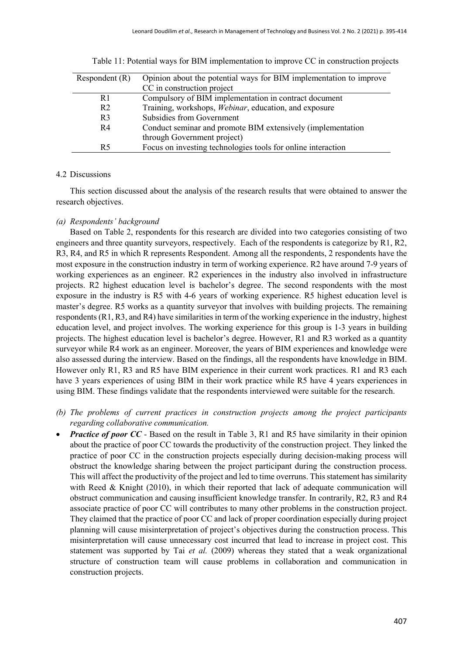| Respondent $(R)$ | Opinion about the potential ways for BIM implementation to improve |
|------------------|--------------------------------------------------------------------|
|                  | CC in construction project                                         |
| R1               | Compulsory of BIM implementation in contract document              |
| R <sub>2</sub>   | Training, workshops, Webinar, education, and exposure              |
| R <sub>3</sub>   | Subsidies from Government                                          |
| R4               | Conduct seminar and promote BIM extensively (implementation        |
|                  | through Government project)                                        |
| R <sub>5</sub>   | Focus on investing technologies tools for online interaction       |

Table 11: Potential ways for BIM implementation to improve CC in construction projects

#### 4.2 Discussions

This section discussed about the analysis of the research results that were obtained to answer the research objectives.

## *(a) Respondents' background*

Based on Table 2, respondents for this research are divided into two categories consisting of two engineers and three quantity surveyors, respectively. Each of the respondents is categorize by R1, R2, R3, R4, and R5 in which R represents Respondent. Among all the respondents, 2 respondents have the most exposure in the construction industry in term of working experience. R2 have around 7-9 years of working experiences as an engineer. R2 experiences in the industry also involved in infrastructure projects. R2 highest education level is bachelor's degree. The second respondents with the most exposure in the industry is R5 with 4-6 years of working experience. R5 highest education level is master's degree. R5 works as a quantity surveyor that involves with building projects. The remaining respondents (R1, R3, and R4) have similarities in term of the working experience in the industry, highest education level, and project involves. The working experience for this group is 1-3 years in building projects. The highest education level is bachelor's degree. However, R1 and R3 worked as a quantity surveyor while R4 work as an engineer. Moreover, the years of BIM experiences and knowledge were also assessed during the interview. Based on the findings, all the respondents have knowledge in BIM. However only R1, R3 and R5 have BIM experience in their current work practices. R1 and R3 each have 3 years experiences of using BIM in their work practice while R5 have 4 years experiences in using BIM. These findings validate that the respondents interviewed were suitable for the research.

- *(b) The problems of current practices in construction projects among the project participants regarding collaborative communication.*
- *Practice of poor CC* Based on the result in Table 3, R1 and R5 have similarity in their opinion about the practice of poor CC towards the productivity of the construction project. They linked the practice of poor CC in the construction projects especially during decision-making process will obstruct the knowledge sharing between the project participant during the construction process. This will affect the productivity of the project and led to time overruns. This statement has similarity with Reed & Knight (2010), in which their reported that lack of adequate communication will obstruct communication and causing insufficient knowledge transfer. In contrarily, R2, R3 and R4 associate practice of poor CC will contributes to many other problems in the construction project. They claimed that the practice of poor CC and lack of proper coordination especially during project planning will cause misinterpretation of project's objectives during the construction process. This misinterpretation will cause unnecessary cost incurred that lead to increase in project cost. This statement was supported by Tai *et al.* (2009) whereas they stated that a weak organizational structure of construction team will cause problems in collaboration and communication in construction projects.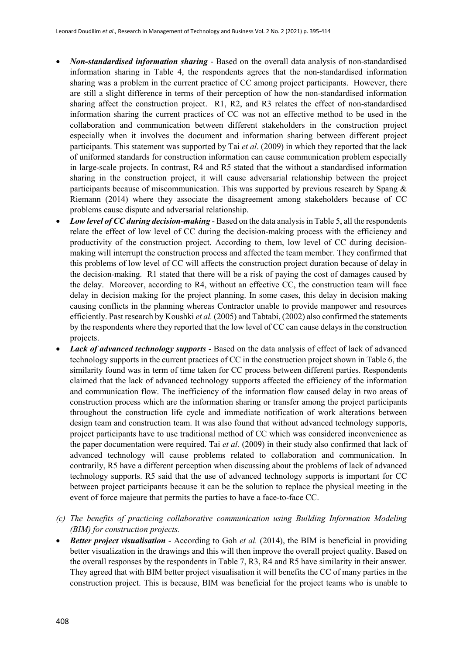- *Non-standardised information sharing* Based on the overall data analysis of non-standardised information sharing in Table 4, the respondents agrees that the non-standardised information sharing was a problem in the current practice of CC among project participants. However, there are still a slight difference in terms of their perception of how the non-standardised information sharing affect the construction project. R1, R2, and R3 relates the effect of non-standardised information sharing the current practices of CC was not an effective method to be used in the collaboration and communication between different stakeholders in the construction project especially when it involves the document and information sharing between different project participants. This statement was supported by Tai *et al*. (2009) in which they reported that the lack of uniformed standards for construction information can cause communication problem especially in large-scale projects. In contrast, R4 and R5 stated that the without a standardised information sharing in the construction project, it will cause adversarial relationship between the project participants because of miscommunication. This was supported by previous research by Spang & Riemann (2014) where they associate the disagreement among stakeholders because of CC problems cause dispute and adversarial relationship.
- *Low level of CC during decision-making*  Based on the data analysis in Table 5, all the respondents relate the effect of low level of CC during the decision-making process with the efficiency and productivity of the construction project. According to them, low level of CC during decisionmaking will interrupt the construction process and affected the team member. They confirmed that this problems of low level of CC will affects the construction project duration because of delay in the decision-making. R1 stated that there will be a risk of paying the cost of damages caused by the delay. Moreover, according to R4, without an effective CC, the construction team will face delay in decision making for the project planning. In some cases, this delay in decision making causing conflicts in the planning whereas Contractor unable to provide manpower and resources efficiently. Past research by Koushki *et al.* (2005) and Tabtabi, (2002) also confirmed the statements by the respondents where they reported that the low level of CC can cause delays in the construction projects.
- *Lack of advanced technology supports*  Based on the data analysis of effect of lack of advanced technology supports in the current practices of CC in the construction project shown in Table 6, the similarity found was in term of time taken for CC process between different parties. Respondents claimed that the lack of advanced technology supports affected the efficiency of the information and communication flow. The inefficiency of the information flow caused delay in two areas of construction process which are the information sharing or transfer among the project participants throughout the construction life cycle and immediate notification of work alterations between design team and construction team. It was also found that without advanced technology supports, project participants have to use traditional method of CC which was considered inconvenience as the paper documentation were required. Tai *et al.* (2009) in their study also confirmed that lack of advanced technology will cause problems related to collaboration and communication. In contrarily, R5 have a different perception when discussing about the problems of lack of advanced technology supports. R5 said that the use of advanced technology supports is important for CC between project participants because it can be the solution to replace the physical meeting in the event of force majeure that permits the parties to have a face-to-face CC.
- *(c) The benefits of practicing collaborative communication using Building Information Modeling (BIM) for construction projects.*
- *Better project visualisation* According to Goh *et al.* (2014), the BIM is beneficial in providing better visualization in the drawings and this will then improve the overall project quality. Based on the overall responses by the respondents in Table 7, R3, R4 and R5 have similarity in their answer. They agreed that with BIM better project visualisation it will benefits the CC of many parties in the construction project. This is because, BIM was beneficial for the project teams who is unable to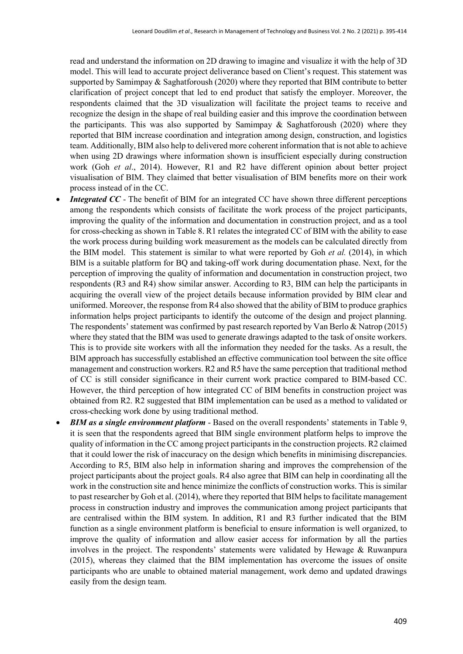read and understand the information on 2D drawing to imagine and visualize it with the help of 3D model. This will lead to accurate project deliverance based on Client's request. This statement was supported by Samimpay & Saghatforoush (2020) where they reported that BIM contribute to better clarification of project concept that led to end product that satisfy the employer. Moreover, the respondents claimed that the 3D visualization will facilitate the project teams to receive and recognize the design in the shape of real building easier and this improve the coordination between the participants. This was also supported by Samimpay  $\&$  Saghatforoush (2020) where they reported that BIM increase coordination and integration among design, construction, and logistics team. Additionally, BIM also help to delivered more coherent information that is not able to achieve when using 2D drawings where information shown is insufficient especially during construction work (Goh *et al*., 2014). However, R1 and R2 have different opinion about better project visualisation of BIM. They claimed that better visualisation of BIM benefits more on their work process instead of in the CC.

- **Integrated CC** The benefit of BIM for an integrated CC have shown three different perceptions among the respondents which consists of facilitate the work process of the project participants, improving the quality of the information and documentation in construction project, and as a tool for cross-checking as shown in Table 8. R1 relates the integrated CC of BIM with the ability to ease the work process during building work measurement as the models can be calculated directly from the BIM model. This statement is similar to what were reported by Goh *et al.* (2014), in which BIM is a suitable platform for BQ and taking-off work during documentation phase. Next, for the perception of improving the quality of information and documentation in construction project, two respondents (R3 and R4) show similar answer. According to R3, BIM can help the participants in acquiring the overall view of the project details because information provided by BIM clear and uniformed. Moreover, the response from R4 also showed that the ability of BIM to produce graphics information helps project participants to identify the outcome of the design and project planning. The respondents' statement was confirmed by past research reported by Van Berlo & Natrop (2015) where they stated that the BIM was used to generate drawings adapted to the task of onsite workers. This is to provide site workers with all the information they needed for the tasks. As a result, the BIM approach has successfully established an effective communication tool between the site office management and construction workers. R2 and R5 have the same perception that traditional method of CC is still consider significance in their current work practice compared to BIM-based CC. However, the third perception of how integrated CC of BIM benefits in construction project was obtained from R2. R2 suggested that BIM implementation can be used as a method to validated or cross-checking work done by using traditional method.
- *BIM as a single environment platform*  Based on the overall respondents' statements in Table 9, it is seen that the respondents agreed that BIM single environment platform helps to improve the quality of information in the CC among project participants in the construction projects. R2 claimed that it could lower the risk of inaccuracy on the design which benefits in minimising discrepancies. According to R5, BIM also help in information sharing and improves the comprehension of the project participants about the project goals. R4 also agree that BIM can help in coordinating all the work in the construction site and hence minimize the conflicts of construction works. This is similar to past researcher by Goh et al. (2014), where they reported that BIM helps to facilitate management process in construction industry and improves the communication among project participants that are centralised within the BIM system. In addition, R1 and R3 further indicated that the BIM function as a single environment platform is beneficial to ensure information is well organized, to improve the quality of information and allow easier access for information by all the parties involves in the project. The respondents' statements were validated by Hewage & Ruwanpura (2015), whereas they claimed that the BIM implementation has overcome the issues of onsite participants who are unable to obtained material management, work demo and updated drawings easily from the design team.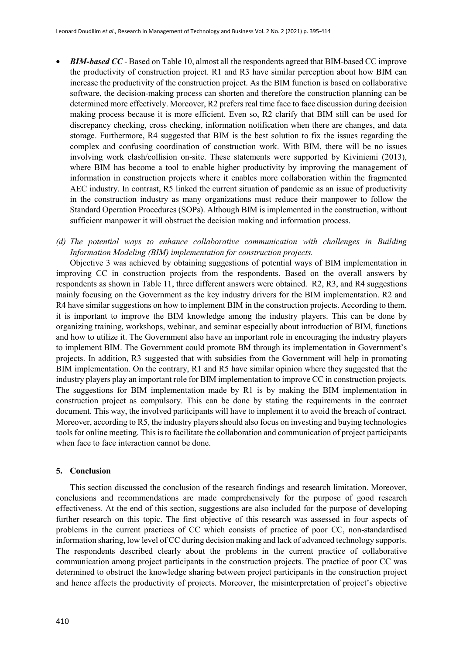- *BIM-based CC* Based on Table 10, almost all the respondents agreed that BIM-based CC improve the productivity of construction project. R1 and R3 have similar perception about how BIM can increase the productivity of the construction project. As the BIM function is based on collaborative software, the decision-making process can shorten and therefore the construction planning can be determined more effectively. Moreover, R2 prefers real time face to face discussion during decision making process because it is more efficient. Even so, R2 clarify that BIM still can be used for discrepancy checking, cross checking, information notification when there are changes, and data storage. Furthermore, R4 suggested that BIM is the best solution to fix the issues regarding the complex and confusing coordination of construction work. With BIM, there will be no issues involving work clash/collision on-site. These statements were supported by Kiviniemi (2013), where BIM has become a tool to enable higher productivity by improving the management of information in construction projects where it enables more collaboration within the fragmented AEC industry. In contrast, R5 linked the current situation of pandemic as an issue of productivity in the construction industry as many organizations must reduce their manpower to follow the Standard Operation Procedures (SOPs). Although BIM is implemented in the construction, without sufficient manpower it will obstruct the decision making and information process.
- *(d) The potential ways to enhance collaborative communication with challenges in Building Information Modeling (BIM) implementation for construction projects.*

Objective 3 was achieved by obtaining suggestions of potential ways of BIM implementation in improving CC in construction projects from the respondents. Based on the overall answers by respondents as shown in Table 11, three different answers were obtained. R2, R3, and R4 suggestions mainly focusing on the Government as the key industry drivers for the BIM implementation. R2 and R4 have similar suggestions on how to implement BIM in the construction projects. According to them, it is important to improve the BIM knowledge among the industry players. This can be done by organizing training, workshops, webinar, and seminar especially about introduction of BIM, functions and how to utilize it. The Government also have an important role in encouraging the industry players to implement BIM. The Government could promote BM through its implementation in Government's projects. In addition, R3 suggested that with subsidies from the Government will help in promoting BIM implementation. On the contrary, R1 and R5 have similar opinion where they suggested that the industry players play an important role for BIM implementation to improve CC in construction projects. The suggestions for BIM implementation made by R1 is by making the BIM implementation in construction project as compulsory. This can be done by stating the requirements in the contract document. This way, the involved participants will have to implement it to avoid the breach of contract. Moreover, according to R5, the industry players should also focus on investing and buying technologies tools for online meeting. This is to facilitate the collaboration and communication of project participants when face to face interaction cannot be done.

# **5. Conclusion**

This section discussed the conclusion of the research findings and research limitation. Moreover, conclusions and recommendations are made comprehensively for the purpose of good research effectiveness. At the end of this section, suggestions are also included for the purpose of developing further research on this topic. The first objective of this research was assessed in four aspects of problems in the current practices of CC which consists of practice of poor CC, non-standardised information sharing, low level of CC during decision making and lack of advanced technology supports. The respondents described clearly about the problems in the current practice of collaborative communication among project participants in the construction projects. The practice of poor CC was determined to obstruct the knowledge sharing between project participants in the construction project and hence affects the productivity of projects. Moreover, the misinterpretation of project's objective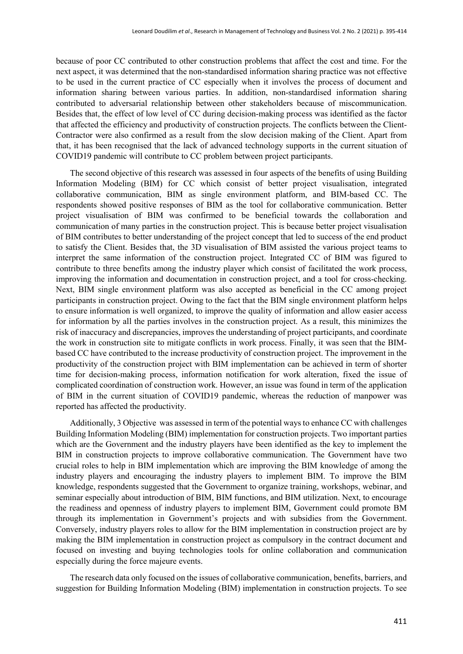because of poor CC contributed to other construction problems that affect the cost and time. For the next aspect, it was determined that the non-standardised information sharing practice was not effective to be used in the current practice of CC especially when it involves the process of document and information sharing between various parties. In addition, non-standardised information sharing contributed to adversarial relationship between other stakeholders because of miscommunication. Besides that, the effect of low level of CC during decision-making process was identified as the factor that affected the efficiency and productivity of construction projects. The conflicts between the Client-Contractor were also confirmed as a result from the slow decision making of the Client. Apart from that, it has been recognised that the lack of advanced technology supports in the current situation of COVID19 pandemic will contribute to CC problem between project participants.

The second objective of this research was assessed in four aspects of the benefits of using Building Information Modeling (BIM) for CC which consist of better project visualisation, integrated collaborative communication, BIM as single environment platform, and BIM-based CC. The respondents showed positive responses of BIM as the tool for collaborative communication. Better project visualisation of BIM was confirmed to be beneficial towards the collaboration and communication of many parties in the construction project. This is because better project visualisation of BIM contributes to better understanding of the project concept that led to success of the end product to satisfy the Client. Besides that, the 3D visualisation of BIM assisted the various project teams to interpret the same information of the construction project. Integrated CC of BIM was figured to contribute to three benefits among the industry player which consist of facilitated the work process, improving the information and documentation in construction project, and a tool for cross-checking. Next, BIM single environment platform was also accepted as beneficial in the CC among project participants in construction project. Owing to the fact that the BIM single environment platform helps to ensure information is well organized, to improve the quality of information and allow easier access for information by all the parties involves in the construction project. As a result, this minimizes the risk of inaccuracy and discrepancies, improves the understanding of project participants, and coordinate the work in construction site to mitigate conflicts in work process. Finally, it was seen that the BIMbased CC have contributed to the increase productivity of construction project. The improvement in the productivity of the construction project with BIM implementation can be achieved in term of shorter time for decision-making process, information notification for work alteration, fixed the issue of complicated coordination of construction work. However, an issue was found in term of the application of BIM in the current situation of COVID19 pandemic, whereas the reduction of manpower was reported has affected the productivity.

Additionally, 3 Objective was assessed in term of the potential ways to enhance CC with challenges Building Information Modeling (BIM) implementation for construction projects. Two important parties which are the Government and the industry players have been identified as the key to implement the BIM in construction projects to improve collaborative communication. The Government have two crucial roles to help in BIM implementation which are improving the BIM knowledge of among the industry players and encouraging the industry players to implement BIM. To improve the BIM knowledge, respondents suggested that the Government to organize training, workshops, webinar, and seminar especially about introduction of BIM, BIM functions, and BIM utilization. Next, to encourage the readiness and openness of industry players to implement BIM, Government could promote BM through its implementation in Government's projects and with subsidies from the Government. Conversely, industry players roles to allow for the BIM implementation in construction project are by making the BIM implementation in construction project as compulsory in the contract document and focused on investing and buying technologies tools for online collaboration and communication especially during the force majeure events.

The research data only focused on the issues of collaborative communication, benefits, barriers, and suggestion for Building Information Modeling (BIM) implementation in construction projects. To see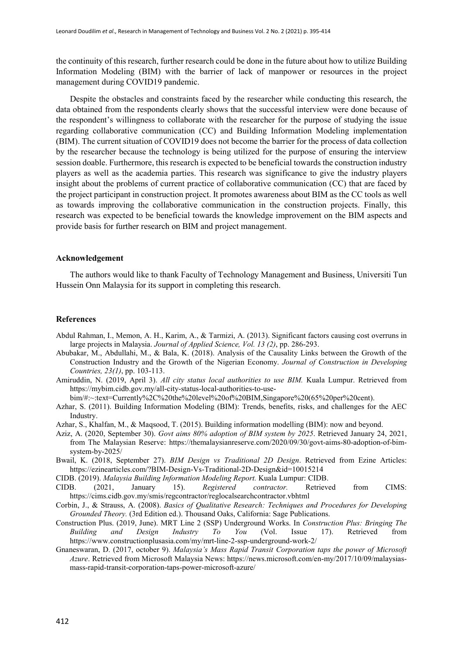the continuity of this research, further research could be done in the future about how to utilize Building Information Modeling (BIM) with the barrier of lack of manpower or resources in the project management during COVID19 pandemic.

Despite the obstacles and constraints faced by the researcher while conducting this research, the data obtained from the respondents clearly shows that the successful interview were done because of the respondent's willingness to collaborate with the researcher for the purpose of studying the issue regarding collaborative communication (CC) and Building Information Modeling implementation (BIM). The current situation of COVID19 does not become the barrier for the process of data collection by the researcher because the technology is being utilized for the purpose of ensuring the interview session doable. Furthermore, this research is expected to be beneficial towards the construction industry players as well as the academia parties. This research was significance to give the industry players insight about the problems of current practice of collaborative communication (CC) that are faced by the project participant in construction project. It promotes awareness about BIM as the CC tools as well as towards improving the collaborative communication in the construction projects. Finally, this research was expected to be beneficial towards the knowledge improvement on the BIM aspects and provide basis for further research on BIM and project management.

# **Acknowledgement**

The authors would like to thank Faculty of Technology Management and Business, Universiti Tun Hussein Onn Malaysia for its support in completing this research.

#### **References**

- Abdul Rahman, I., Memon, A. H., Karim, A., & Tarmizi, A. (2013). Significant factors causing cost overruns in large projects in Malaysia. *Journal of Applied Science, Vol. 13 (2)*, pp. 286-293.
- Abubakar, M., Abdullahi, M., & Bala, K. (2018). Analysis of the Causality Links between the Growth of the Construction Industry and the Growth of the Nigerian Economy. *Journal of Construction in Developing Countries, 23(1)*, pp. 103-113.
- Amiruddin, N. (2019, April 3). *All city status local authorities to use BIM.* Kuala Lumpur. Retrieved from https://mybim.cidb.gov.my/all-city-status-local-authorities-to-use-

bim/#:~:text=Currently%2C%20the%20level%20of%20BIM,Singapore%20(65%20per%20cent).

- Azhar, S. (2011). Building Information Modeling (BIM): Trends, benefits, risks, and challenges for the AEC Industry.
- Azhar, S., Khalfan, M., & Maqsood, T. (2015). Building information modelling (BIM): now and beyond.
- Aziz, A. (2020, September 30). *Govt aims 80% adoption of BIM system by 2025*. Retrieved January 24, 2021, from The Malaysian Reserve: https://themalaysianreserve.com/2020/09/30/govt-aims-80-adoption-of-bimsystem-by-2025/
- Bwail, K. (2018, September 27). *BIM Design vs Traditional 2D Design*. Retrieved from Ezine Articles: https://ezinearticles.com/?BIM-Design-Vs-Traditional-2D-Design&id=10015214
- CIDB. (2019). *Malaysia Building Information Modeling Report.* Kuala Lumpur: CIDB.
- CIDB. (2021, January 15). *Registered contractor.* Retrieved from CIMS: https://cims.cidb.gov.my/smis/regcontractor/reglocalsearchcontractor.vbhtml
- Corbin, J., & Strauss, A. (2008). *Basics of Qualitative Research: Techniques and Procedures for Developing Grounded Theory.* (3rd Edition ed.). Thousand Oaks, California: Sage Publications.
- Construction Plus. (2019, June). MRT Line 2 (SSP) Underground Works. In *Construction Plus: Bringing The Building and Design Industry To You* (Vol. Issue 17). Retrieved from https://www.constructionplusasia.com/my/mrt-line-2-ssp-underground-work-2/
- Gnaneswaran, D. (2017, october 9). *Malaysia's Mass Rapid Transit Corporation taps the power of Microsoft Azure*. Retrieved from Microsoft Malaysia News: https://news.microsoft.com/en-my/2017/10/09/malaysiasmass-rapid-transit-corporation-taps-power-microsoft-azure/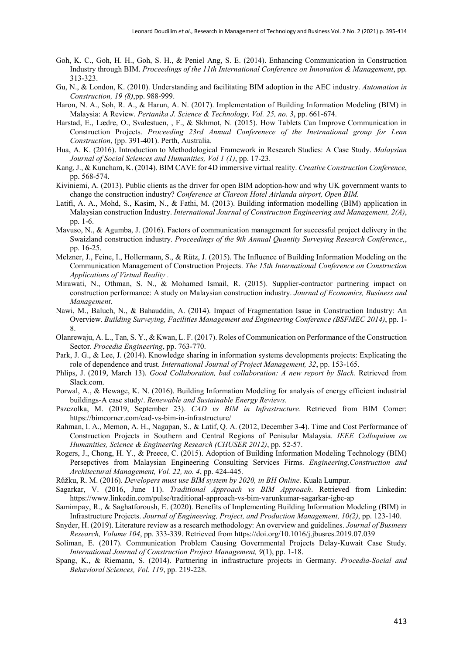- Goh, K. C., Goh, H. H., Goh, S. H., & Peniel Ang, S. E. (2014). Enhancing Communication in Construction Industry through BIM. *Proceedings of the 11th International Conference on Innovation & Management*, pp. 313-323.
- Gu, N., & London, K. (2010). Understanding and facilitating BIM adoption in the AEC industry. *Automation in Construction, 19 (8)*,pp. 988-999.
- Haron, N. A., Soh, R. A., & Harun, A. N. (2017). Implementation of Building Information Modeling (BIM) in Malaysia: A Review. *Pertanika J. Science & Technology, Vol. 25, no. 3*, pp. 661-674.
- Harstad, E., Lædre, O., Svalestuen, , F., & Skhmot, N. (2015). How Tablets Can Improve Communication in Construction Projects. *Proceeding 23rd Annual Conferenece of the Inetrnational group for Lean Construction*, (pp. 391-401). Perth, Australia.
- Hua, A. K. (2016). Introduction to Methodological Framework in Research Studies: A Case Study. *Malaysian Journal of Social Sciences and Humanities, Vol 1 (1)*, pp. 17-23.
- Kang, J., & Kuncham, K. (2014). BIM CAVE for 4D immersive virtual reality. *Creative Construction Conference*, pp. 568-574.
- Kiviniemi, A. (2013). Public clients as the driver for open BIM adoption-how and why UK government wants to change the construction industry? *Conference at Clareon Hotel Airlanda airport, Open BIM.*
- Latifi, A. A., Mohd, S., Kasim, N., & Fathi, M. (2013). Building information modelling (BIM) application in Malaysian construction Industry. *International Journal of Construction Engineering and Management, 2(A)*, pp. 1-6.
- Mavuso, N., & Agumba, J. (2016). Factors of communication management for successful project delivery in the Swaizland construction industry. *Proceedings of the 9th Annual Quantity Surveying Research Conference,*, pp. 16-25.
- Melzner, J., Feine, I., Hollermann, S., & Rütz, J. (2015). The Influence of Building Information Modeling on the Communication Management of Construction Projects. *The 15th International Conference on Construction Applications of Virtual Reality .*
- Mirawati, N., Othman, S. N., & Mohamed Ismail, R. (2015). Supplier-contractor partnering impact on construction performance: A study on Malaysian construction industry. *Journal of Economics, Business and Management*.
- Nawi, M., Baluch, N., & Bahauddin, A. (2014). Impact of Fragmentation Issue in Construction Industry: An Overview. *Building Surveying, Facilities Management and Engineering Conference (BSFMEC 2014)*, pp. 1- 8.
- Olanrewaju, A. L., Tan, S. Y., & Kwan, L. F. (2017). Roles of Communication on Performance of the Construction Sector. *Procedia Engineering*, pp. 763-770.
- Park, J. G., & Lee, J. (2014). Knowledge sharing in information systems developments projects: Explicating the role of dependence and trust. *International Journal of Project Management, 32*, pp. 153-165.
- Phlips, J. (2019, March 13). *Good Collaboration, bad collaboration: A new report by Slack.* Retrieved from Slack.com.
- Porwal, A., & Hewage, K. N. (2016). Building Information Modeling for analysis of energy efficient industrial buildings-A case study/. *Renewable and Sustainable Energy Reviews*.
- Pszczolka, M. (2019, September 23). *CAD vs BIM in Infrastructure*. Retrieved from BIM Corner: https://bimcorner.com/cad-vs-bim-in-infrastructure/
- Rahman, I. A., Memon, A. H., Nagapan, S., & Latif, Q. A. (2012, December 3-4). Time and Cost Performance of Construction Projects in Southern and Central Regions of Penisular Malaysia. *IEEE Colloquium on Humanities, Science & Engineering Research (CHUSER 2012)*, pp. 52-57.
- Rogers, J., Chong, H. Y., & Preece, C. (2015). Adoption of Building Information Modeling Technology (BIM) Persepctives from Malaysian Engineering Consulting Services Firms. *Engineering,Construction and Architectural Management, Vol. 22, no. 4*, pp. 424-445.

Růžku, R. M. (2016). *Developers must use BIM system by 2020, in BH Online.* Kuala Lumpur.

- Sagarkar, V. (2016, June 11). *Traditional Approach vs BIM Approach*. Retrieved from Linkedin: https://www.linkedin.com/pulse/traditional-approach-vs-bim-varunkumar-sagarkar-igbc-ap
- Samimpay, R., & Saghatforoush, E. (2020). Benefits of Implementing Building Information Modeling (BIM) in Infrastructure Projects. *Journal of Engineering, Project, and Production Management, 10(2)*, pp. 123-140.
- Snyder, H. (2019). Literature review as a research methodology: An overview and guidelines. *Journal of Business Research, Volume 104*, pp. 333-339. Retrieved from https://doi.org/10.1016/j.jbusres.2019.07.039
- Soliman, E. (2017). Communication Problem Causing Governmental Projects Delay-Kuwait Case Study. *International Journal of Construction Project Management, 9*(1), pp. 1-18.
- Spang, K., & Riemann, S. (2014). Partnering in infrastructure projects in Germany. *Procedia-Social and Behavioral Sciences, Vol. 119*, pp. 219-228.